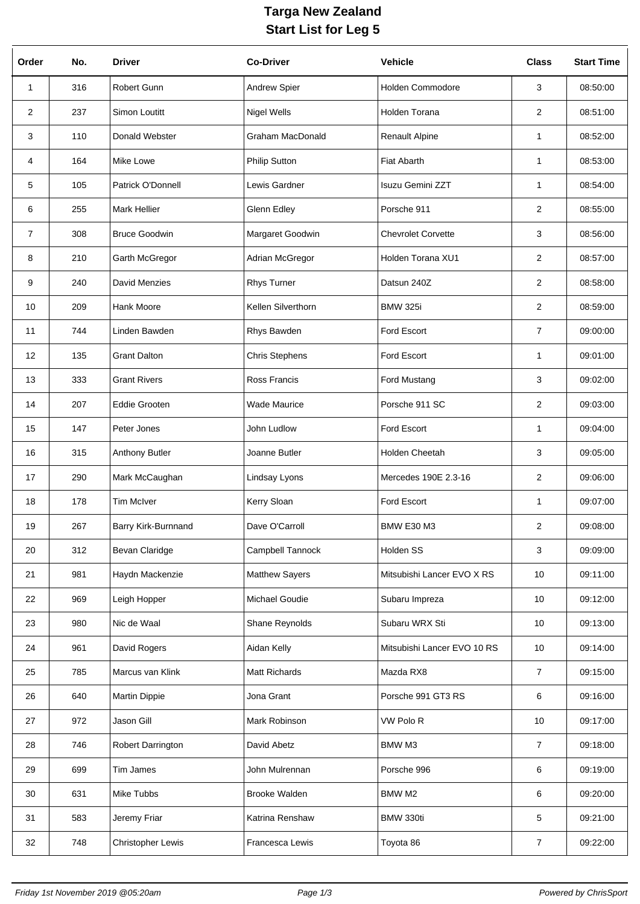## **Targa New Zealand Start List for Leg 5**

| Order          | No. | <b>Driver</b>            | <b>Co-Driver</b>        | <b>Vehicle</b>              | <b>Class</b>   | <b>Start Time</b> |
|----------------|-----|--------------------------|-------------------------|-----------------------------|----------------|-------------------|
| 1              | 316 | Robert Gunn              | Andrew Spier            | Holden Commodore            | 3              | 08:50:00          |
| $\overline{2}$ | 237 | Simon Loutitt            | <b>Nigel Wells</b>      | Holden Torana               | $\overline{2}$ | 08:51:00          |
| 3              | 110 | Donald Webster           | <b>Graham MacDonald</b> | Renault Alpine              | 1              | 08:52:00          |
| 4              | 164 | Mike Lowe                | <b>Philip Sutton</b>    | <b>Fiat Abarth</b>          | 1              | 08:53:00          |
| 5              | 105 | Patrick O'Donnell        | Lewis Gardner           | Isuzu Gemini ZZT            | $\mathbf{1}$   | 08:54:00          |
| 6              | 255 | <b>Mark Hellier</b>      | Glenn Edley             | Porsche 911                 | $\overline{2}$ | 08:55:00          |
| $\overline{7}$ | 308 | <b>Bruce Goodwin</b>     | Margaret Goodwin        | <b>Chevrolet Corvette</b>   | 3              | 08:56:00          |
| 8              | 210 | Garth McGregor           | Adrian McGregor         | Holden Torana XU1           | $\overline{2}$ | 08:57:00          |
| 9              | 240 | <b>David Menzies</b>     | <b>Rhys Turner</b>      | Datsun 240Z                 | $\overline{2}$ | 08:58:00          |
| 10             | 209 | Hank Moore               | Kellen Silverthorn      | <b>BMW 325i</b>             | $\overline{2}$ | 08:59:00          |
| 11             | 744 | Linden Bawden            | Rhys Bawden             | Ford Escort                 | $\overline{7}$ | 09:00:00          |
| 12             | 135 | <b>Grant Dalton</b>      | <b>Chris Stephens</b>   | Ford Escort                 | $\mathbf{1}$   | 09:01:00          |
| 13             | 333 | <b>Grant Rivers</b>      | Ross Francis            | Ford Mustang                | 3              | 09:02:00          |
| 14             | 207 | <b>Eddie Grooten</b>     | <b>Wade Maurice</b>     | Porsche 911 SC              | $\overline{2}$ | 09:03:00          |
| 15             | 147 | Peter Jones              | John Ludlow             | Ford Escort                 | $\mathbf{1}$   | 09:04:00          |
| 16             | 315 | Anthony Butler           | Joanne Butler           | Holden Cheetah              | 3              | 09:05:00          |
| 17             | 290 | Mark McCaughan           | Lindsay Lyons           | Mercedes 190E 2.3-16        | $\overline{2}$ | 09:06:00          |
| 18             | 178 | <b>Tim McIver</b>        | Kerry Sloan             | Ford Escort                 | $\mathbf 1$    | 09:07:00          |
| 19             | 267 | Barry Kirk-Burnnand      | Dave O'Carroll          | BMW E30 M3                  | 2              | 09:08:00          |
| 20             | 312 | Bevan Claridge           | Campbell Tannock        | Holden SS                   | 3              | 09:09:00          |
| 21             | 981 | Haydn Mackenzie          | <b>Matthew Sayers</b>   | Mitsubishi Lancer EVO X RS  | 10             | 09:11:00          |
| 22             | 969 | Leigh Hopper             | Michael Goudie          | Subaru Impreza              | 10             | 09:12:00          |
| 23             | 980 | Nic de Waal              | Shane Reynolds          | Subaru WRX Sti              | 10             | 09:13:00          |
| 24             | 961 | David Rogers             | Aidan Kelly             | Mitsubishi Lancer EVO 10 RS | 10             | 09:14:00          |
| 25             | 785 | Marcus van Klink         | Matt Richards           | Mazda RX8                   | $\overline{7}$ | 09:15:00          |
| 26             | 640 | Martin Dippie            | Jona Grant              | Porsche 991 GT3 RS          | 6              | 09:16:00          |
| 27             | 972 | Jason Gill               | Mark Robinson           | VW Polo R                   | 10             | 09:17:00          |
| 28             | 746 | Robert Darrington        | David Abetz             | <b>BMW M3</b>               | 7              | 09:18:00          |
| 29             | 699 | Tim James                | John Mulrennan          | Porsche 996                 | 6              | 09:19:00          |
| 30             | 631 | Mike Tubbs               | <b>Brooke Walden</b>    | BMW M2                      | 6              | 09:20:00          |
| 31             | 583 | Jeremy Friar             | Katrina Renshaw         | BMW 330ti                   | 5              | 09:21:00          |
| 32             | 748 | <b>Christopher Lewis</b> | Francesca Lewis         | Toyota 86                   | 7              | 09:22:00          |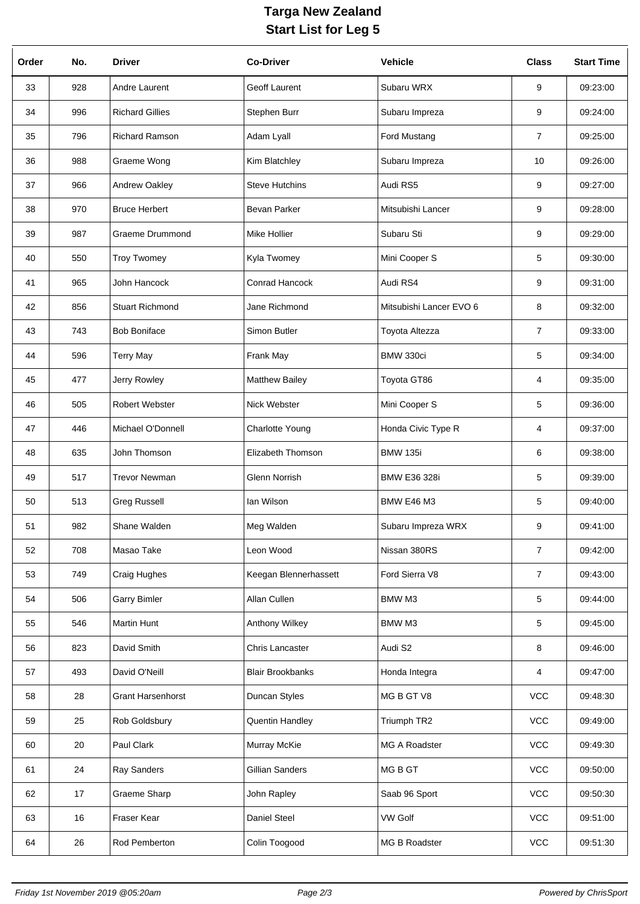## **Targa New Zealand Start List for Leg 5**

| Order | No. | <b>Driver</b>            | <b>Co-Driver</b>        | <b>Vehicle</b>          | <b>Class</b>   | <b>Start Time</b> |
|-------|-----|--------------------------|-------------------------|-------------------------|----------------|-------------------|
| 33    | 928 | Andre Laurent            | Geoff Laurent           | Subaru WRX              | 9              | 09:23:00          |
| 34    | 996 | <b>Richard Gillies</b>   | Stephen Burr            | Subaru Impreza          | 9              | 09:24:00          |
| 35    | 796 | Richard Ramson           | Adam Lyall              | Ford Mustang            | 7              | 09:25:00          |
| 36    | 988 | Graeme Wong              | Kim Blatchley           | Subaru Impreza          | 10             | 09:26:00          |
| 37    | 966 | Andrew Oakley            | <b>Steve Hutchins</b>   | Audi RS5                | 9              | 09:27:00          |
| 38    | 970 | <b>Bruce Herbert</b>     | <b>Bevan Parker</b>     | Mitsubishi Lancer       | 9              | 09:28:00          |
| 39    | 987 | <b>Graeme Drummond</b>   | Mike Hollier            | Subaru Sti              | 9              | 09:29:00          |
| 40    | 550 | <b>Troy Twomey</b>       | Kyla Twomey             | Mini Cooper S           | 5              | 09:30:00          |
| 41    | 965 | John Hancock             | Conrad Hancock          | Audi RS4                | 9              | 09:31:00          |
| 42    | 856 | <b>Stuart Richmond</b>   | Jane Richmond           | Mitsubishi Lancer EVO 6 | 8              | 09:32:00          |
| 43    | 743 | <b>Bob Boniface</b>      | Simon Butler            | Toyota Altezza          | $\overline{7}$ | 09:33:00          |
| 44    | 596 | <b>Terry May</b>         | Frank May               | BMW 330ci               | 5              | 09:34:00          |
| 45    | 477 | Jerry Rowley             | <b>Matthew Bailey</b>   | Toyota GT86             | 4              | 09:35:00          |
| 46    | 505 | Robert Webster           | Nick Webster            | Mini Cooper S           | 5              | 09:36:00          |
| 47    | 446 | Michael O'Donnell        | Charlotte Young         | Honda Civic Type R      | 4              | 09:37:00          |
| 48    | 635 | John Thomson             | Elizabeth Thomson       | <b>BMW 135i</b>         | 6              | 09:38:00          |
| 49    | 517 | <b>Trevor Newman</b>     | Glenn Norrish           | <b>BMW E36 328i</b>     | 5              | 09:39:00          |
| 50    | 513 | <b>Greg Russell</b>      | lan Wilson              | <b>BMW E46 M3</b>       | 5              | 09:40:00          |
| 51    | 982 | Shane Walden             | Meg Walden              | Subaru Impreza WRX      | 9              | 09:41:00          |
| 52    | 708 | Masao Take               | Leon Wood               | Nissan 380RS            | $\overline{7}$ | 09:42:00          |
| 53    | 749 | Craig Hughes             | Keegan Blennerhassett   | Ford Sierra V8          | $\overline{7}$ | 09:43:00          |
| 54    | 506 | <b>Garry Bimler</b>      | Allan Cullen            | <b>BMW M3</b>           | 5              | 09:44:00          |
| 55    | 546 | <b>Martin Hunt</b>       | Anthony Wilkey          | BMW M3                  | 5              | 09:45:00          |
| 56    | 823 | David Smith              | Chris Lancaster         | Audi S2                 | 8              | 09:46:00          |
| 57    | 493 | David O'Neill            | <b>Blair Brookbanks</b> | Honda Integra           | 4              | 09:47:00          |
| 58    | 28  | <b>Grant Harsenhorst</b> | Duncan Styles           | MG B GT V8              | VCC            | 09:48:30          |
| 59    | 25  | Rob Goldsbury            | Quentin Handley         | Triumph TR2             | <b>VCC</b>     | 09:49:00          |
| 60    | 20  | Paul Clark               | Murray McKie            | MG A Roadster           | <b>VCC</b>     | 09:49:30          |
| 61    | 24  | Ray Sanders              | Gillian Sanders         | MG B GT                 | <b>VCC</b>     | 09:50:00          |
| 62    | 17  | Graeme Sharp             | John Rapley             | Saab 96 Sport           | <b>VCC</b>     | 09:50:30          |
| 63    | 16  | Fraser Kear              | Daniel Steel            | <b>VW Golf</b>          | <b>VCC</b>     | 09:51:00          |
| 64    | 26  | Rod Pemberton            | Colin Toogood           | MG B Roadster           | VCC            | 09:51:30          |